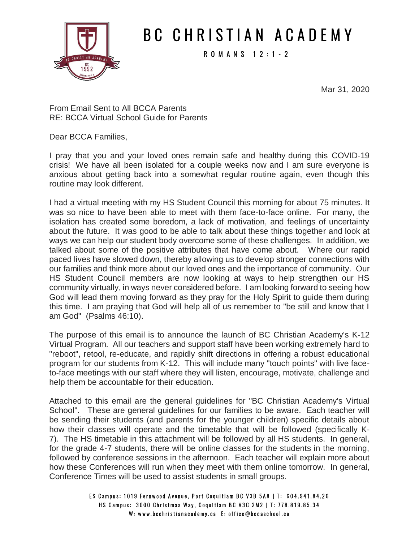

## B C C H R I S T I A N A C A D E M Y

R O M A N S 1 2 : 1 - 2

Mar 31, 2020

From Email Sent to All BCCA Parents RE: BCCA Virtual School Guide for Parents

Dear BCCA Families,

I pray that you and your loved ones remain safe and healthy during this COVID-19 crisis! We have all been isolated for a couple weeks now and I am sure everyone is anxious about getting back into a somewhat regular routine again, even though this routine may look different.

I had a virtual meeting with my HS Student Council this morning for about 75 minutes. It was so nice to have been able to meet with them face-to-face online. For many, the isolation has created some boredom, a lack of motivation, and feelings of uncertainty about the future. It was good to be able to talk about these things together and look at ways we can help our student body overcome some of these challenges. In addition, we talked about some of the positive attributes that have come about. Where our rapid paced lives have slowed down, thereby allowing us to develop stronger connections with our families and think more about our loved ones and the importance of community. Our HS Student Council members are now looking at ways to help strengthen our HS community virtually, in ways never considered before. I am looking forward to seeing how God will lead them moving forward as they pray for the Holy Spirit to guide them during this time. I am praying that God will help all of us remember to "be still and know that I am God" (Psalms 46:10).

The purpose of this email is to announce the launch of BC Christian Academy's K-12 Virtual Program. All our teachers and support staff have been working extremely hard to "reboot", retool, re-educate, and rapidly shift directions in offering a robust educational program for our students from K-12. This will include many "touch points" with live faceto-face meetings with our staff where they will listen, encourage, motivate, challenge and help them be accountable for their education.

Attached to this email are the general guidelines for "BC Christian Academy's Virtual School". These are general guidelines for our families to be aware. Each teacher will be sending their students (and parents for the younger children) specific details about how their classes will operate and the timetable that will be followed (specifically K-7). The HS timetable in this attachment will be followed by all HS students. In general, for the grade 4-7 students, there will be online classes for the students in the morning, followed by conference sessions in the afternoon. Each teacher will explain more about how these Conferences will run when they meet with them online tomorrow. In general, Conference Times will be used to assist students in small groups.

> ES Campus: 1019 Fernwood Avenue, Port Coquitlam BC V3B 5A8 | T: 604.941.84.26 HS Campus: 3000 Christmas Way, Coquitlam BC V3C 2M2 | T: 778.819.85.34 W: www.bcchristianacademy.ca E: office@bccaschool.ca